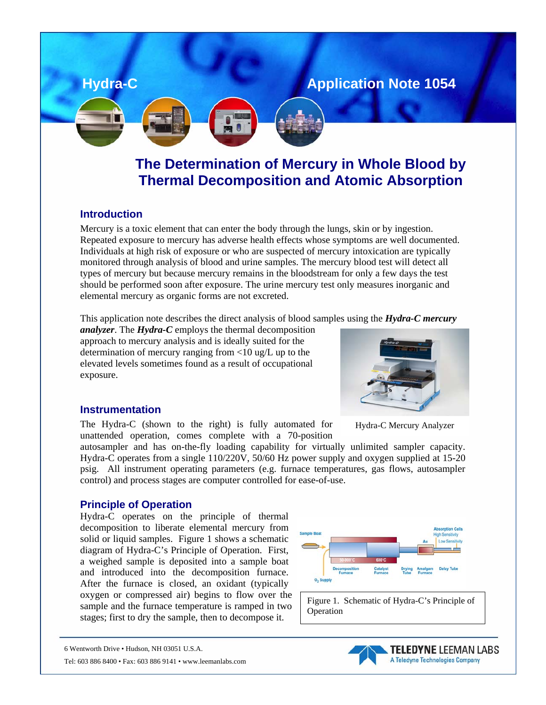

# **Thermal Decomposition and Atomic Absorption The Determination of Mercury in Whole Blood by**

## **Introduction**

Mercury is a toxic element that can enter the body through the lungs, skin or by ingestion. Repeated exposure to mercury has adverse health effects whose symptoms are well documented. Individuals at high risk of exposure or who are suspected of mercury intoxication are typically monitored through analysis of blood and urine samples. The mercury blood test will detect all types of mercury but because mercury remains in the bloodstream for only a few days the test should be performed soon after exposure. The urine mercury test only measures inorganic and elemental mercury as organic forms are not excreted.

This application note describes the direct analysis of blood samples using the *Hydra-C mercury* 

*analyzer*. The *Hydra-C* employs the thermal decomposition approach to mercury analysis and is ideally suited for the determination of mercury ranging from  $\langle 10 \text{ ug/L} \text{ up to the} \rangle$ elevated levels sometimes found as a result of occupational exposure.

### **Instrumentation**

The Hydra-C (shown to the right) is fully automated for unattended operation, comes complete with a 70-position

autosampler and has on-the-fly loading capability for virtually unlimited sampler capacity. Hydra-C operates from a single 110/220V, 50/60 Hz power supply and oxygen supplied at 15-20 psig. All instrument operating parameters (e.g. furnace temperatures, gas flows, autosampler control) and process stages are computer controlled for ease-of-use.

### **Principle of Operation**

Hydra-C operates on the principle of thermal decomposition to liberate elemental mercury from solid or liquid samples. Figure 1 shows a schematic diagram of Hydra-C's Principle of Operation. First, a weighed sample is deposited into a sample boat and introduced into the decomposition furnace. After the furnace is closed, an oxidant (typically oxygen or compressed air) begins to flow over the sample and the furnace temperature is ramped in two stages; first to dry the sample, then to decompose it.



Figure 1. Schematic of Hydra-C's Principle of Operation



Hydra-C Mercury Analyzer



<sup>6</sup> Wentworth Drive • Hudson, NH 03051 U.S.A.

Tel: 603 886 8400 • Fax: 603 886 9141 • www.leemanlabs.com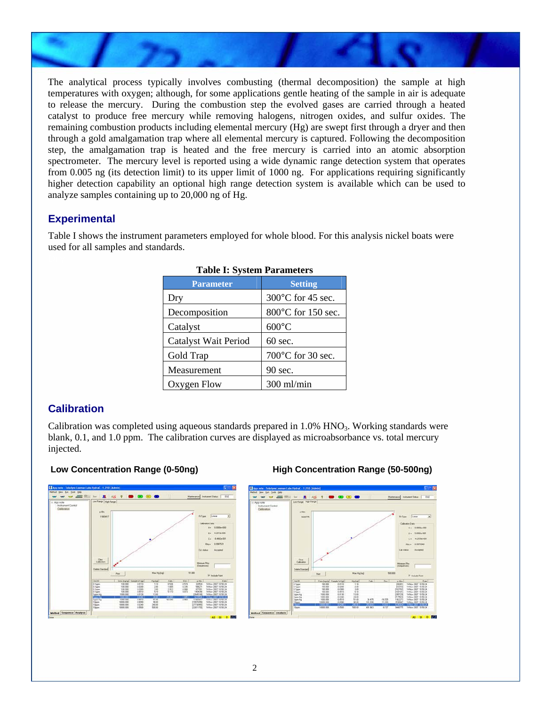

The analytical process typically involves combusting (thermal decomposition) the sample at high temperatures with oxygen; although, for some applications gentle heating of the sample in air is adequate to release the mercury. During the combustion step the evolved gases are carried through a heated catalyst to produce free mercury while removing halogens, nitrogen oxides, and sulfur oxides. The remaining combustion products including elemental mercury (Hg) are swept first through a dryer and then through a gold amalgamation trap where all elemental mercury is captured. Following the decomposition step, the amalgamation trap is heated and the free mercury is carried into an atomic absorption spectrometer. The mercury level is reported using a wide dynamic range detection system that operates from 0.005 ng (its detection limit) to its upper limit of 1000 ng. For applications requiring significantly higher detection capability an optional high range detection system is available which can be used to analyze samples containing up to 20,000 ng of Hg.

# **Experimental**

Table I shows the instrument parameters employed for whole blood. For this analysis nickel boats were used for all samples and standards.

| ~~~ ~~ ~ , ~                |                    |  |  |  |
|-----------------------------|--------------------|--|--|--|
| <b>Parameter</b>            | <b>Setting</b>     |  |  |  |
| Dry                         | 300°C for 45 sec.  |  |  |  |
| Decomposition               | 800°C for 150 sec. |  |  |  |
| Catalyst                    | $600^{\circ}$ C    |  |  |  |
| <b>Catalyst Wait Period</b> | $60 \text{ sec.}$  |  |  |  |
| Gold Trap                   | 700°C for 30 sec.  |  |  |  |
| Measurement                 | 90 sec.            |  |  |  |
| Oxygen Flow                 | 300 ml/min         |  |  |  |

#### **Table I: System Parameters**

# **Calibration**

Calibration was completed using aqueous standards prepared in 1.0% HNO<sub>3</sub>. Working standards were blank, 0.1, and 1.0 ppm. The calibration curves are displayed as microabsorbance vs. total mercury injected.



### **Low Concentration Range (0-50ng) High Concentration Range (50-500ng)**